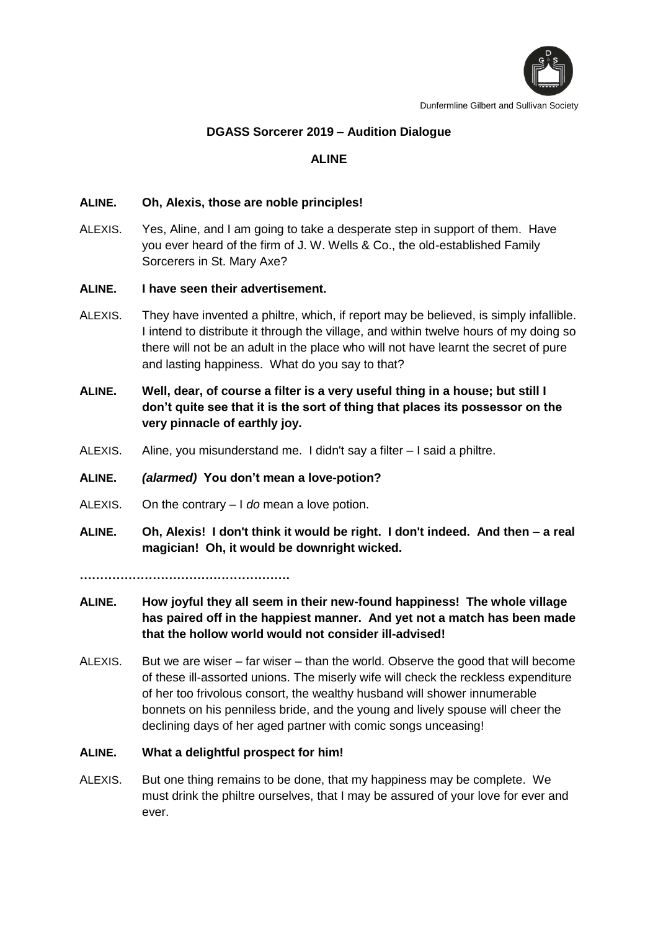

Dunfermline Gilbert and Sullivan Society

# **DGASS Sorcerer 2019 – Audition Dialogue**

# **ALINE**

## **ALINE. Oh, Alexis, those are noble principles!**

ALEXIS. Yes, Aline, and I am going to take a desperate step in support of them. Have you ever heard of the firm of J. W. Wells & Co., the old-established Family Sorcerers in St. Mary Axe?

## **ALINE. I have seen their advertisement.**

- ALEXIS. They have invented a philtre, which, if report may be believed, is simply infallible. I intend to distribute it through the village, and within twelve hours of my doing so there will not be an adult in the place who will not have learnt the secret of pure and lasting happiness. What do you say to that?
- **ALINE. Well, dear, of course a filter is a very useful thing in a house; but still I don't quite see that it is the sort of thing that places its possessor on the very pinnacle of earthly joy.**
- ALEXIS. Aline, you misunderstand me. I didn't say a filter I said a philtre.

### **ALINE.** *(alarmed)* **You don't mean a love-potion?**

- ALEXIS. On the contrary I *do* mean a love potion.
- **ALINE. Oh, Alexis! I don't think it would be right. I don't indeed. And then – a real magician! Oh, it would be downright wicked.**

**…………………………………………….**

- **ALINE. How joyful they all seem in their new-found happiness! The whole village has paired off in the happiest manner. And yet not a match has been made that the hollow world would not consider ill-advised!**
- ALEXIS. But we are wiser far wiser than the world. Observe the good that will become of these ill-assorted unions. The miserly wife will check the reckless expenditure of her too frivolous consort, the wealthy husband will shower innumerable bonnets on his penniless bride, and the young and lively spouse will cheer the declining days of her aged partner with comic songs unceasing!

### **ALINE. What a delightful prospect for him!**

ALEXIS. But one thing remains to be done, that my happiness may be complete. We must drink the philtre ourselves, that I may be assured of your love for ever and ever.